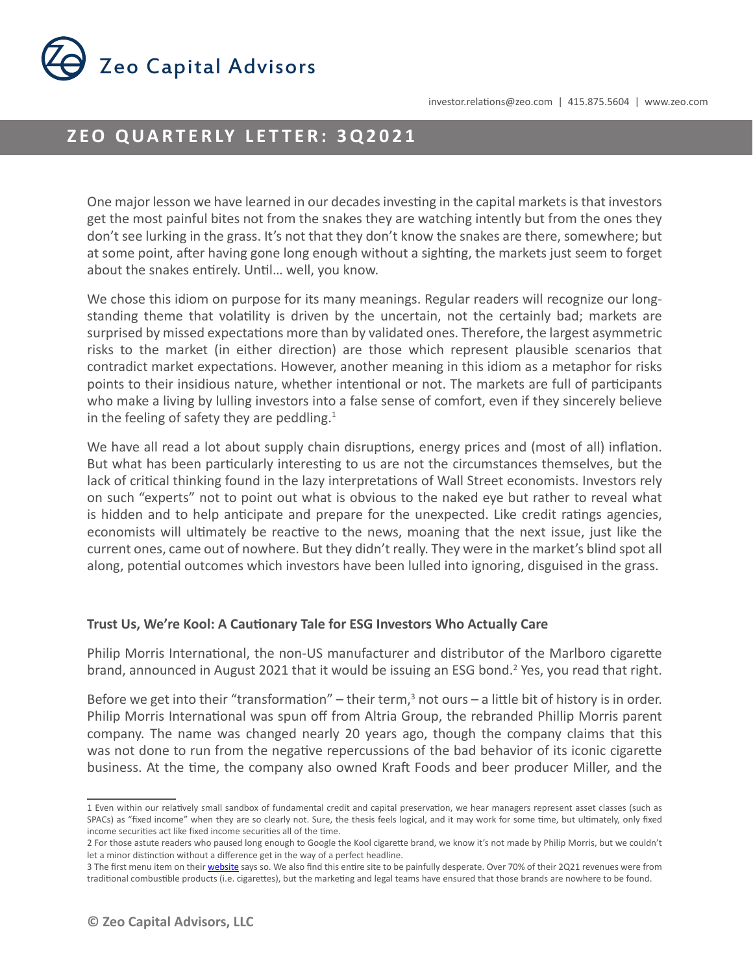

# **ZEO QUARTERLY LETTER: 3Q2021**

One major lesson we have learned in our decades investing in the capital markets is that investors get the most painful bites not from the snakes they are watching intently but from the ones they don't see lurking in the grass. It's not that they don't know the snakes are there, somewhere; but at some point, after having gone long enough without a sighting, the markets just seem to forget about the snakes entirely. Until… well, you know.

We chose this idiom on purpose for its many meanings. Regular readers will recognize our longstanding theme that volatility is driven by the uncertain, not the certainly bad; markets are surprised by missed expectations more than by validated ones. Therefore, the largest asymmetric risks to the market (in either direction) are those which represent plausible scenarios that contradict market expectations. However, another meaning in this idiom as a metaphor for risks points to their insidious nature, whether intentional or not. The markets are full of participants who make a living by lulling investors into a false sense of comfort, even if they sincerely believe in the feeling of safety they are peddling. $1$ 

We have all read a lot about supply chain disruptions, energy prices and (most of all) inflation. But what has been particularly interesting to us are not the circumstances themselves, but the lack of critical thinking found in the lazy interpretations of Wall Street economists. Investors rely on such "experts" not to point out what is obvious to the naked eye but rather to reveal what is hidden and to help anticipate and prepare for the unexpected. Like credit ratings agencies, economists will ultimately be reactive to the news, moaning that the next issue, just like the current ones, came out of nowhere. But they didn't really. They were in the market's blind spot all along, potential outcomes which investors have been lulled into ignoring, disguised in the grass.

### **Trust Us, We're Kool: A Cautionary Tale for ESG Investors Who Actually Care**

Philip Morris International, the non-US manufacturer and distributor of the Marlboro cigarette brand, announced in August 2021 that it would be issuing an ESG bond.<sup>2</sup> Yes, you read that right.

Before we get into their "transformation" – their term, $3$  not ours – a little bit of history is in order. Philip Morris International was spun off from Altria Group, the rebranded Phillip Morris parent company. The name was changed nearly 20 years ago, though the company claims that this was not done to run from the negative repercussions of the bad behavior of its iconic cigarette business. At the time, the company also owned Kraft Foods and beer producer Miller, and the

<sup>1</sup> Even within our relatively small sandbox of fundamental credit and capital preservation, we hear managers represent asset classes (such as SPACs) as "fixed income" when they are so clearly not. Sure, the thesis feels logical, and it may work for some time, but ultimately, only fixed income securities act like fixed income securities all of the time.

<sup>2</sup> For those astute readers who paused long enough to Google the Kool cigarette brand, we know it's not made by Philip Morris, but we couldn't let a minor distinction without a difference get in the way of a perfect headline.

<sup>3</sup> The first menu item on their *website* says so. We also find this entire site to be painfully desperate. Over 70% of their 2Q21 revenues were from traditional combustible products (i.e. cigarettes), but the marketing and legal teams have ensured that those brands are nowhere to be found.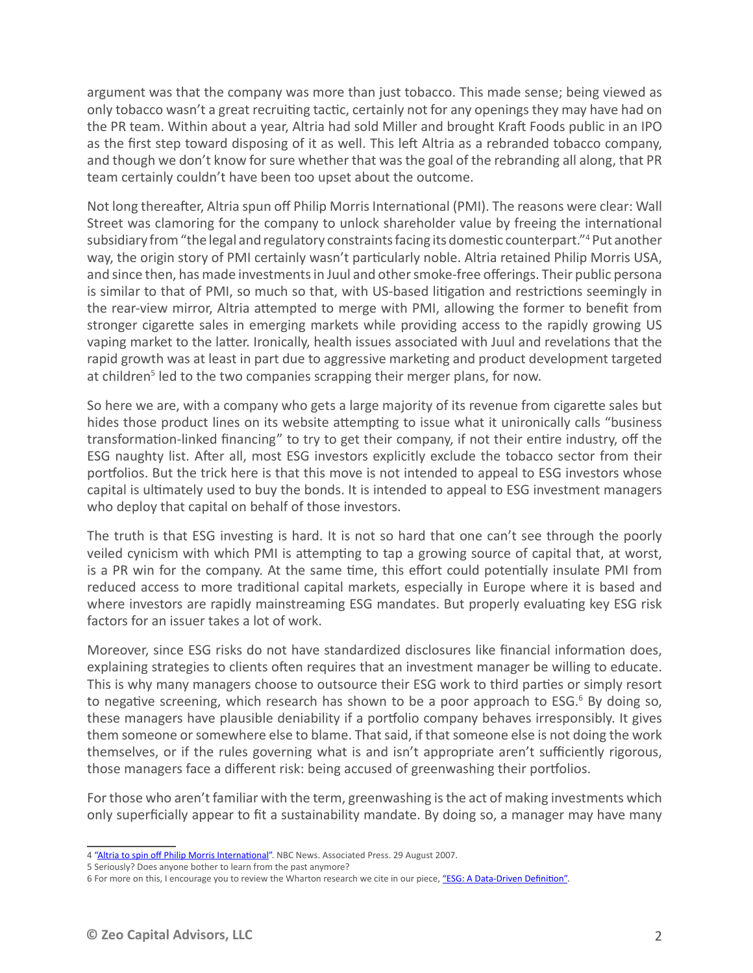argument was that the company was more than just tobacco. This made sense; being viewed as only tobacco wasn't a great recruiting tactic, certainly not for any openings they may have had on the PR team. Within about a year, Altria had sold Miller and brought Kraft Foods public in an IPO as the first step toward disposing of it as well. This left Altria as a rebranded tobacco company, and though we don't know for sure whether that was the goal of the rebranding all along, that PR team certainly couldn't have been too upset about the outcome.

Not long thereafter, Altria spun off Philip Morris International (PMI). The reasons were clear: Wall Street was clamoring for the company to unlock shareholder value by freeing the international subsidiary from "the legal and regulatory constraints facing its domestic counterpart."4 Put another way, the origin story of PMI certainly wasn't particularly noble. Altria retained Philip Morris USA, and since then, has made investments in Juul and other smoke-free offerings. Their public persona is similar to that of PMI, so much so that, with US-based litigation and restrictions seemingly in the rear-view mirror, Altria attempted to merge with PMI, allowing the former to benefit from stronger cigarette sales in emerging markets while providing access to the rapidly growing US vaping market to the latter. Ironically, health issues associated with Juul and revelations that the rapid growth was at least in part due to aggressive marketing and product development targeted at children<sup>5</sup> led to the two companies scrapping their merger plans, for now.

So here we are, with a company who gets a large majority of its revenue from cigarette sales but hides those product lines on its website attempting to issue what it unironically calls "business transformation-linked financing" to try to get their company, if not their entire industry, off the ESG naughty list. After all, most ESG investors explicitly exclude the tobacco sector from their portfolios. But the trick here is that this move is not intended to appeal to ESG investors whose capital is ultimately used to buy the bonds. It is intended to appeal to ESG investment managers who deploy that capital on behalf of those investors.

The truth is that ESG investing is hard. It is not so hard that one can't see through the poorly veiled cynicism with which PMI is attempting to tap a growing source of capital that, at worst, is a PR win for the company. At the same time, this effort could potentially insulate PMI from reduced access to more traditional capital markets, especially in Europe where it is based and where investors are rapidly mainstreaming ESG mandates. But properly evaluating key ESG risk factors for an issuer takes a lot of work.

Moreover, since ESG risks do not have standardized disclosures like financial information does, explaining strategies to clients often requires that an investment manager be willing to educate. This is why many managers choose to outsource their ESG work to third parties or simply resort to negative screening, which research has shown to be a poor approach to ESG.<sup>6</sup> By doing so, these managers have plausible deniability if a portfolio company behaves irresponsibly. It gives them someone or somewhere else to blame. That said, if that someone else is not doing the work themselves, or if the rules governing what is and isn't appropriate aren't sufficiently rigorous, those managers face a different risk: being accused of greenwashing their portfolios.

For those who aren't familiar with the term, greenwashing is the act of making investments which only superficially appear to fit a sustainability mandate. By doing so, a manager may have many

<sup>4</sup> ["Altria to spin off Philip Morris International"](https://www.nbcnews.com/id/wbna20494757). NBC News. Associated Press. 29 August 2007.

<sup>5</sup> Seriously? Does anyone bother to learn from the past anymore?

<sup>6</sup> For more on this, I encourage you to review the Wharton research we cite in our piece, ["ESG: A Data-Driven Definition"](https://www.zeo.com/esg-a-data-driven-definition/).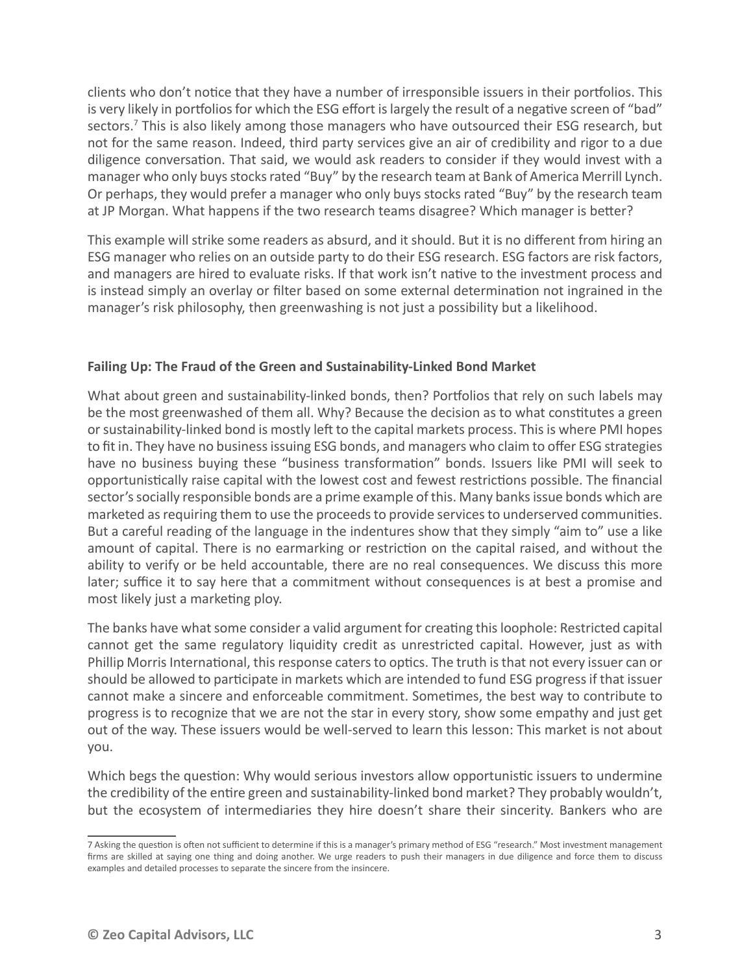clients who don't notice that they have a number of irresponsible issuers in their portfolios. This is very likely in portfolios for which the ESG effort is largely the result of a negative screen of "bad" sectors.<sup>7</sup> This is also likely among those managers who have outsourced their ESG research, but not for the same reason. Indeed, third party services give an air of credibility and rigor to a due diligence conversation. That said, we would ask readers to consider if they would invest with a manager who only buys stocks rated "Buy" by the research team at Bank of America Merrill Lynch. Or perhaps, they would prefer a manager who only buys stocks rated "Buy" by the research team at JP Morgan. What happens if the two research teams disagree? Which manager is better?

This example will strike some readers as absurd, and it should. But it is no different from hiring an ESG manager who relies on an outside party to do their ESG research. ESG factors are risk factors, and managers are hired to evaluate risks. If that work isn't native to the investment process and is instead simply an overlay or filter based on some external determination not ingrained in the manager's risk philosophy, then greenwashing is not just a possibility but a likelihood.

## **Failing Up: The Fraud of the Green and Sustainability-Linked Bond Market**

What about green and sustainability-linked bonds, then? Portfolios that rely on such labels may be the most greenwashed of them all. Why? Because the decision as to what constitutes a green or sustainability-linked bond is mostly left to the capital markets process. This is where PMI hopes to fit in. They have no business issuing ESG bonds, and managers who claim to offer ESG strategies have no business buying these "business transformation" bonds. Issuers like PMI will seek to opportunistically raise capital with the lowest cost and fewest restrictions possible. The financial sector's socially responsible bonds are a prime example of this. Many banks issue bonds which are marketed as requiring them to use the proceeds to provide services to underserved communities. But a careful reading of the language in the indentures show that they simply "aim to" use a like amount of capital. There is no earmarking or restriction on the capital raised, and without the ability to verify or be held accountable, there are no real consequences. We discuss this more later; suffice it to say here that a commitment without consequences is at best a promise and most likely just a marketing ploy.

The banks have what some consider a valid argument for creating this loophole: Restricted capital cannot get the same regulatory liquidity credit as unrestricted capital. However, just as with Phillip Morris International, this response caters to optics. The truth is that not every issuer can or should be allowed to participate in markets which are intended to fund ESG progress if that issuer cannot make a sincere and enforceable commitment. Sometimes, the best way to contribute to progress is to recognize that we are not the star in every story, show some empathy and just get out of the way. These issuers would be well-served to learn this lesson: This market is not about you.

Which begs the question: Why would serious investors allow opportunistic issuers to undermine the credibility of the entire green and sustainability-linked bond market? They probably wouldn't, but the ecosystem of intermediaries they hire doesn't share their sincerity. Bankers who are

<sup>7</sup> Asking the question is often not sufficient to determine if this is a manager's primary method of ESG "research." Most investment management firms are skilled at saying one thing and doing another. We urge readers to push their managers in due diligence and force them to discuss examples and detailed processes to separate the sincere from the insincere.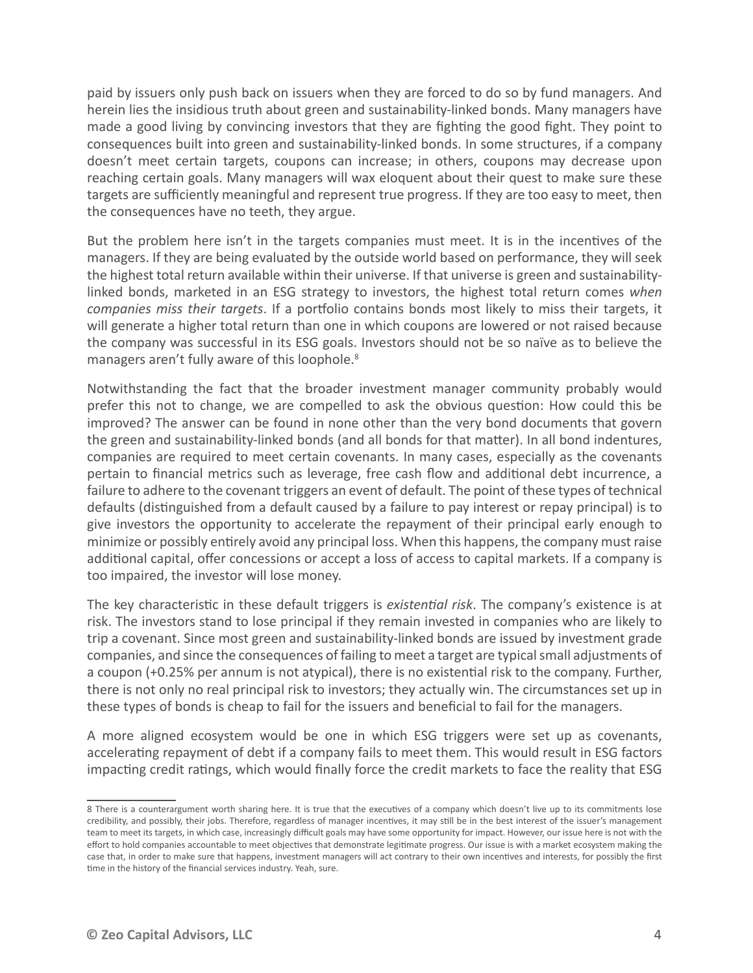paid by issuers only push back on issuers when they are forced to do so by fund managers. And herein lies the insidious truth about green and sustainability-linked bonds. Many managers have made a good living by convincing investors that they are fighting the good fight. They point to consequences built into green and sustainability-linked bonds. In some structures, if a company doesn't meet certain targets, coupons can increase; in others, coupons may decrease upon reaching certain goals. Many managers will wax eloquent about their quest to make sure these targets are sufficiently meaningful and represent true progress. If they are too easy to meet, then the consequences have no teeth, they argue.

But the problem here isn't in the targets companies must meet. It is in the incentives of the managers. If they are being evaluated by the outside world based on performance, they will seek the highest total return available within their universe. If that universe is green and sustainabilitylinked bonds, marketed in an ESG strategy to investors, the highest total return comes *when companies miss their targets*. If a portfolio contains bonds most likely to miss their targets, it will generate a higher total return than one in which coupons are lowered or not raised because the company was successful in its ESG goals. Investors should not be so naïve as to believe the managers aren't fully aware of this loophole.<sup>8</sup>

Notwithstanding the fact that the broader investment manager community probably would prefer this not to change, we are compelled to ask the obvious question: How could this be improved? The answer can be found in none other than the very bond documents that govern the green and sustainability-linked bonds (and all bonds for that matter). In all bond indentures, companies are required to meet certain covenants. In many cases, especially as the covenants pertain to financial metrics such as leverage, free cash flow and additional debt incurrence, a failure to adhere to the covenant triggers an event of default. The point of these types of technical defaults (distinguished from a default caused by a failure to pay interest or repay principal) is to give investors the opportunity to accelerate the repayment of their principal early enough to minimize or possibly entirely avoid any principal loss. When this happens, the company must raise additional capital, offer concessions or accept a loss of access to capital markets. If a company is too impaired, the investor will lose money.

The key characteristic in these default triggers is *existential risk*. The company's existence is at risk. The investors stand to lose principal if they remain invested in companies who are likely to trip a covenant. Since most green and sustainability-linked bonds are issued by investment grade companies, and since the consequences of failing to meet a target are typical small adjustments of a coupon (+0.25% per annum is not atypical), there is no existential risk to the company. Further, there is not only no real principal risk to investors; they actually win. The circumstances set up in these types of bonds is cheap to fail for the issuers and beneficial to fail for the managers.

A more aligned ecosystem would be one in which ESG triggers were set up as covenants, accelerating repayment of debt if a company fails to meet them. This would result in ESG factors impacting credit ratings, which would finally force the credit markets to face the reality that ESG

<sup>8</sup> There is a counterargument worth sharing here. It is true that the executives of a company which doesn't live up to its commitments lose credibility, and possibly, their jobs. Therefore, regardless of manager incentives, it may still be in the best interest of the issuer's management team to meet its targets, in which case, increasingly difficult goals may have some opportunity for impact. However, our issue here is not with the effort to hold companies accountable to meet objectives that demonstrate legitimate progress. Our issue is with a market ecosystem making the case that, in order to make sure that happens, investment managers will act contrary to their own incentives and interests, for possibly the first time in the history of the financial services industry. Yeah, sure.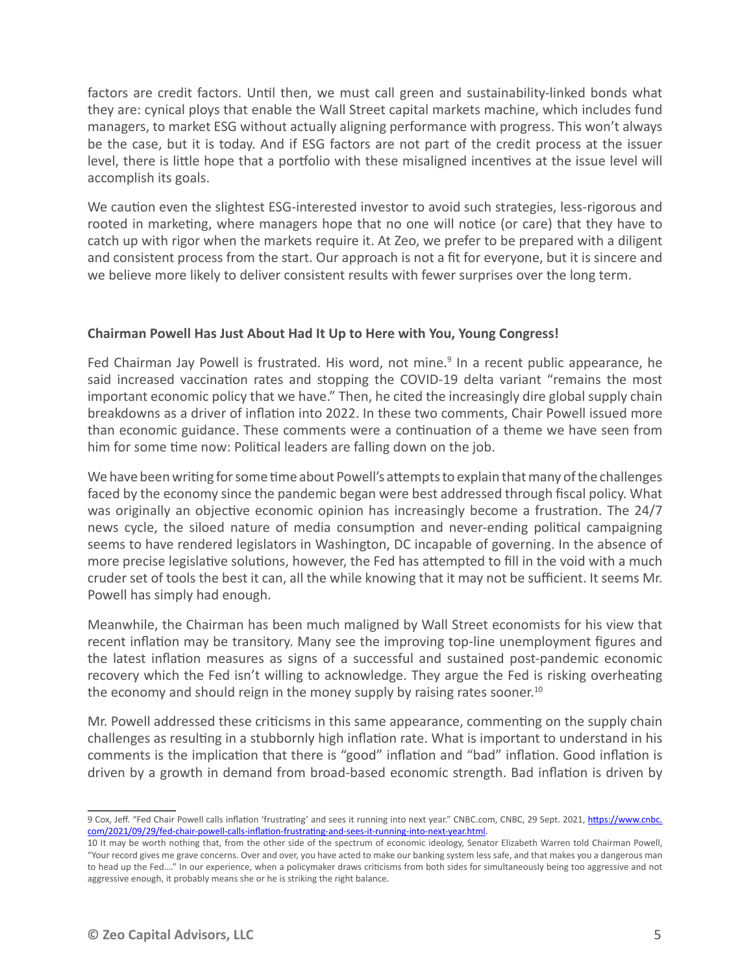factors are credit factors. Until then, we must call green and sustainability-linked bonds what they are: cynical ploys that enable the Wall Street capital markets machine, which includes fund managers, to market ESG without actually aligning performance with progress. This won't always be the case, but it is today. And if ESG factors are not part of the credit process at the issuer level, there is little hope that a portfolio with these misaligned incentives at the issue level will accomplish its goals.

We caution even the slightest ESG-interested investor to avoid such strategies, less-rigorous and rooted in marketing, where managers hope that no one will notice (or care) that they have to catch up with rigor when the markets require it. At Zeo, we prefer to be prepared with a diligent and consistent process from the start. Our approach is not a fit for everyone, but it is sincere and we believe more likely to deliver consistent results with fewer surprises over the long term.

## **Chairman Powell Has Just About Had It Up to Here with You, Young Congress!**

Fed Chairman Jay Powell is frustrated. His word, not mine.<sup>9</sup> In a recent public appearance, he said increased vaccination rates and stopping the COVID-19 delta variant "remains the most important economic policy that we have." Then, he cited the increasingly dire global supply chain breakdowns as a driver of inflation into 2022. In these two comments, Chair Powell issued more than economic guidance. These comments were a continuation of a theme we have seen from him for some time now: Political leaders are falling down on the job.

We have been writing for some time about Powell's attempts to explain that many of the challenges faced by the economy since the pandemic began were best addressed through fiscal policy. What was originally an objective economic opinion has increasingly become a frustration. The 24/7 news cycle, the siloed nature of media consumption and never-ending political campaigning seems to have rendered legislators in Washington, DC incapable of governing. In the absence of more precise legislative solutions, however, the Fed has attempted to fill in the void with a much cruder set of tools the best it can, all the while knowing that it may not be sufficient. It seems Mr. Powell has simply had enough.

Meanwhile, the Chairman has been much maligned by Wall Street economists for his view that recent inflation may be transitory. Many see the improving top-line unemployment figures and the latest inflation measures as signs of a successful and sustained post-pandemic economic recovery which the Fed isn't willing to acknowledge. They argue the Fed is risking overheating the economy and should reign in the money supply by raising rates sooner.<sup>10</sup>

Mr. Powell addressed these criticisms in this same appearance, commenting on the supply chain challenges as resulting in a stubbornly high inflation rate. What is important to understand in his comments is the implication that there is "good" inflation and "bad" inflation. Good inflation is driven by a growth in demand from broad-based economic strength. Bad inflation is driven by

<sup>9</sup> Cox, Jeff. "Fed Chair Powell calls inflation 'frustrating' and sees it running into next year." CNBC.com, CNBC, 29 Sept. 2021[, https://www.cnbc.](https://www.cnbc.com/2021/09/29/fed-chair-powell-calls-inflation-frustrating-and-sees-it-running-into-next-year.html) [com/2021/09/29/fed-chair-powell-calls-inflation-frustrating-and-sees-it-running-into-next-year.html](https://www.cnbc.com/2021/09/29/fed-chair-powell-calls-inflation-frustrating-and-sees-it-running-into-next-year.html).

<sup>10</sup> It may be worth nothing that, from the other side of the spectrum of economic ideology, Senator Elizabeth Warren told Chairman Powell, "Your record gives me grave concerns. Over and over, you have acted to make our banking system less safe, and that makes you a dangerous man to head up the Fed…." In our experience, when a policymaker draws criticisms from both sides for simultaneously being too aggressive and not aggressive enough, it probably means she or he is striking the right balance.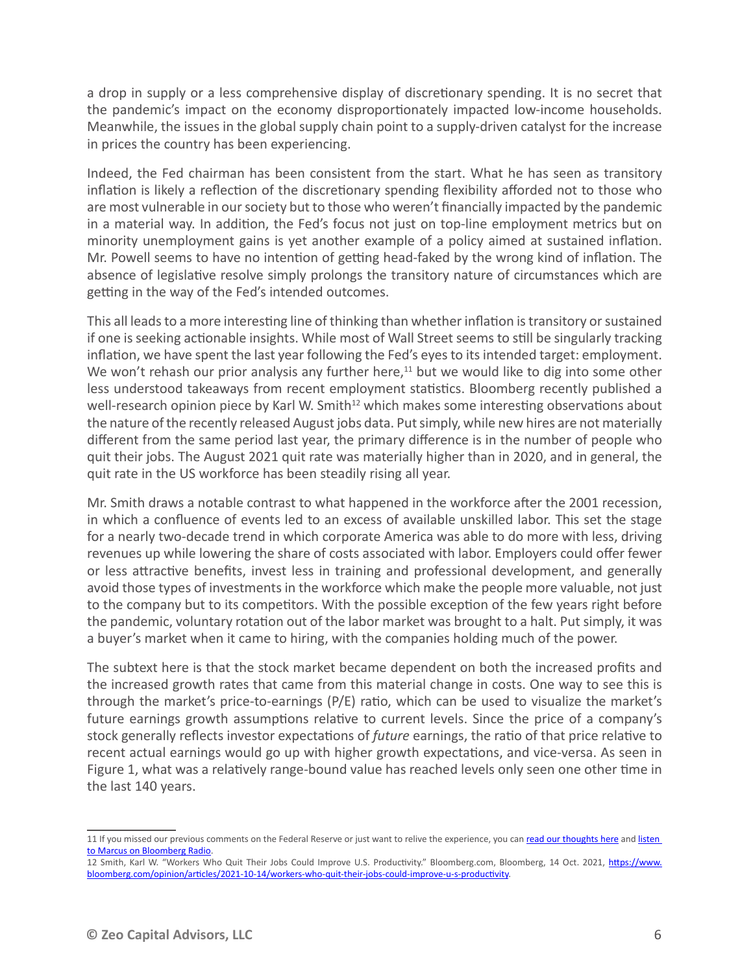a drop in supply or a less comprehensive display of discretionary spending. It is no secret that the pandemic's impact on the economy disproportionately impacted low-income households. Meanwhile, the issues in the global supply chain point to a supply-driven catalyst for the increase in prices the country has been experiencing.

Indeed, the Fed chairman has been consistent from the start. What he has seen as transitory inflation is likely a reflection of the discretionary spending flexibility afforded not to those who are most vulnerable in our society but to those who weren't financially impacted by the pandemic in a material way. In addition, the Fed's focus not just on top-line employment metrics but on minority unemployment gains is yet another example of a policy aimed at sustained inflation. Mr. Powell seems to have no intention of getting head-faked by the wrong kind of inflation. The absence of legislative resolve simply prolongs the transitory nature of circumstances which are getting in the way of the Fed's intended outcomes.

This all leads to a more interesting line of thinking than whether inflation is transitory or sustained if one is seeking actionable insights. While most of Wall Street seems to still be singularly tracking inflation, we have spent the last year following the Fed's eyes to its intended target: employment. We won't rehash our prior analysis any further here, $11$  but we would like to dig into some other less understood takeaways from recent employment statistics. Bloomberg recently published a well-research opinion piece by Karl W. Smith<sup>12</sup> which makes some interesting observations about the nature of the recently released August jobs data. Put simply, while new hires are not materially different from the same period last year, the primary difference is in the number of people who quit their jobs. The August 2021 quit rate was materially higher than in 2020, and in general, the quit rate in the US workforce has been steadily rising all year.

Mr. Smith draws a notable contrast to what happened in the workforce after the 2001 recession, in which a confluence of events led to an excess of available unskilled labor. This set the stage for a nearly two-decade trend in which corporate America was able to do more with less, driving revenues up while lowering the share of costs associated with labor. Employers could offer fewer or less attractive benefits, invest less in training and professional development, and generally avoid those types of investments in the workforce which make the people more valuable, not just to the company but to its competitors. With the possible exception of the few years right before the pandemic, voluntary rotation out of the labor market was brought to a halt. Put simply, it was a buyer's market when it came to hiring, with the companies holding much of the power.

The subtext here is that the stock market became dependent on both the increased profits and the increased growth rates that came from this material change in costs. One way to see this is through the market's price-to-earnings (P/E) ratio, which can be used to visualize the market's future earnings growth assumptions relative to current levels. Since the price of a company's stock generally reflects investor expectations of *future* earnings, the ratio of that price relative to recent actual earnings would go up with higher growth expectations, and vice-versa. As seen in Figure 1, what was a relatively range-bound value has reached levels only seen one other time in the last 140 years.

<sup>11</sup> If you missed our previous comments on the Federal Reserve or just want to relive the experience, you can [read our thoughts here](https://www.zeo.com/category/fed/) and listen [to Marcus on Bloomberg Radio.](https://www.bloomberg.com/news/audio/2021-10-07/a-look-at-markets-mental-health-and-jobs-day-podcast?sref=JPZoYFt5)

<sup>12</sup> Smith, Karl W. "Workers Who Quit Their Jobs Could Improve U.S. Productivity." Bloomberg.com, Bloomberg, 14 Oct. 2021, [https://www.](https://www.bloomberg.com/opinion/articles/2021-10-14/workers-who-quit-their-jobs-could-improve-u-s-productivity) [bloomberg.com/opinion/articles/2021-10-14/workers-who-quit-their-jobs-could-improve-u-s-productivity](https://www.bloomberg.com/opinion/articles/2021-10-14/workers-who-quit-their-jobs-could-improve-u-s-productivity).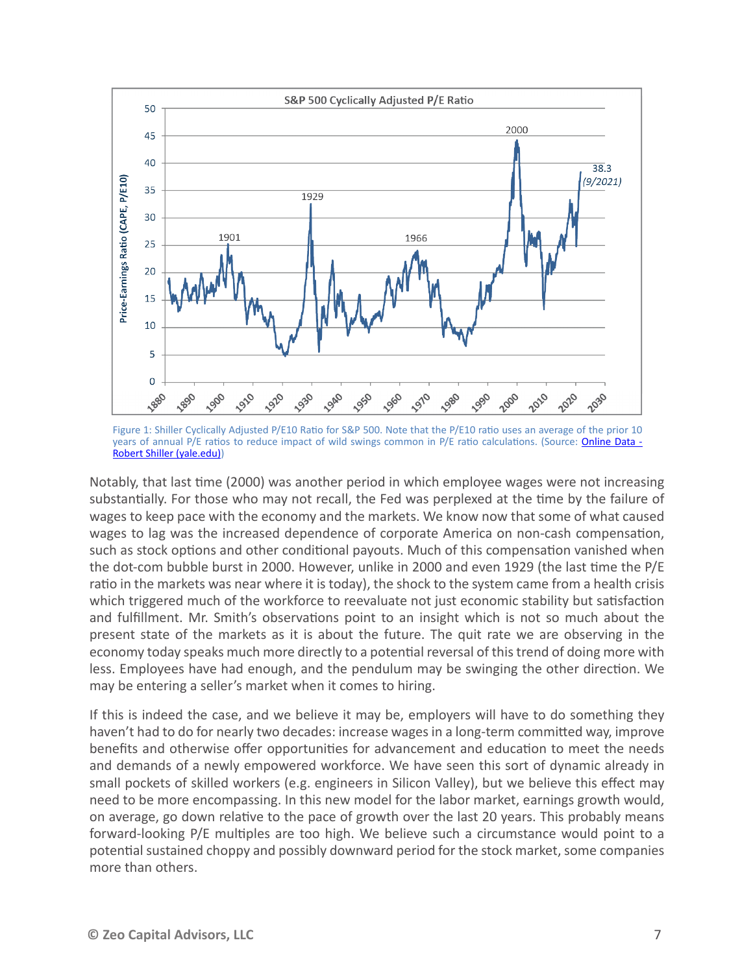

Figure 1: Shiller Cyclically Adjusted P/E10 Ratio for S&P 500. Note that the P/E10 ratio uses an average of the prior 10 years of annual P/E ratios to reduce impact of wild swings common in P/E ratio calculations. (Source: Online Data -[Robert Shiller \(yale.edu\)\)](http://www.econ.yale.edu/~shiller/data.htm)

Notably, that last time (2000) was another period in which employee wages were not increasing substantially. For those who may not recall, the Fed was perplexed at the time by the failure of wages to keep pace with the economy and the markets. We know now that some of what caused wages to lag was the increased dependence of corporate America on non-cash compensation, such as stock options and other conditional payouts. Much of this compensation vanished when the dot-com bubble burst in 2000. However, unlike in 2000 and even 1929 (the last time the P/E ratio in the markets was near where it is today), the shock to the system came from a health crisis which triggered much of the workforce to reevaluate not just economic stability but satisfaction and fulfillment. Mr. Smith's observations point to an insight which is not so much about the present state of the markets as it is about the future. The quit rate we are observing in the economy today speaks much more directly to a potential reversal of this trend of doing more with less. Employees have had enough, and the pendulum may be swinging the other direction. We may be entering a seller's market when it comes to hiring.

If this is indeed the case, and we believe it may be, employers will have to do something they haven't had to do for nearly two decades: increase wages in a long-term committed way, improve benefits and otherwise offer opportunities for advancement and education to meet the needs and demands of a newly empowered workforce. We have seen this sort of dynamic already in small pockets of skilled workers (e.g. engineers in Silicon Valley), but we believe this effect may need to be more encompassing. In this new model for the labor market, earnings growth would, on average, go down relative to the pace of growth over the last 20 years. This probably means forward-looking P/E multiples are too high. We believe such a circumstance would point to a potential sustained choppy and possibly downward period for the stock market, some companies more than others.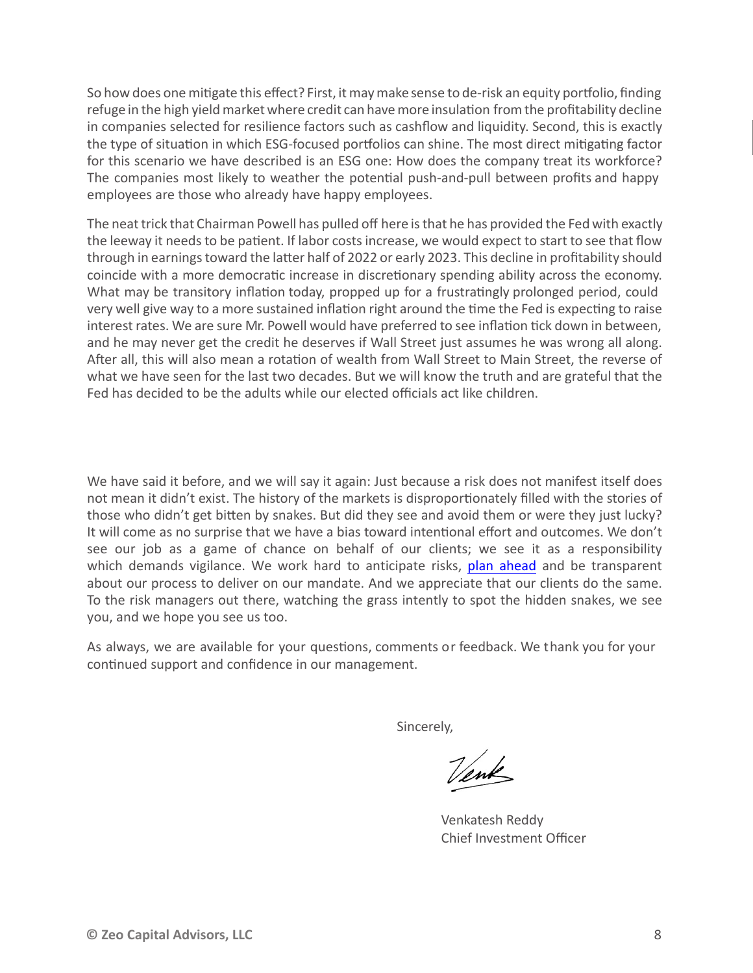So how does one mitigate this effect? First, it maymake sense to de-risk an equity portfolio, finding refuge in the high yield market where credit can havemore insulation fromthe profitability decline in companies selected for resilience factors such as cashflow and liquidity. Second, this is exactly the type of situation in which ESG-focused portfolios can shine. The most direct mitigating factor for this scenario we have described is an ESG one: How does the company treat its workforce? The companies most likely to weather the potential push-and-pull between profits and happy employees are those who already have happy employees.

The neat trick that Chairman Powell has pulled off here is that he has provided the Fed with exactly the leeway it needs to be patient. If labor costs increase, we would expect to start to see that flow through in earnings toward the latter half of 2022 or early 2023. This decline in profitability should coincide with a more democratic increase in discretionary spending ability across the economy. What may be transitory inflation today, propped up for a frustratingly prolonged period, could very well give way to a more sustained inflation right around the time the Fed is expecting to raise interest rates. We are sure Mr. Powell would have preferred to see inflation tick down in between, and he may never get the credit he deserves if Wall Street just assumes he was wrong all along. After all, this will also mean a rotation of wealth from Wall Street to Main Street, the reverse of what we have seen for the last two decades. But we will know the truth and are grateful that the Fed has decided to be the adults while our elected officials act like children.

We have said it before, and we will say it again: Just because a risk does not manifest itself does not mean it didn't exist. The history of the markets is disproportionately filled with the stories of those who didn't get bitten by snakes. But did they see and avoid them or were they just lucky? It will come as no surprise that we have a bias toward intentional effort and outcomes. We don't see our job as a game of chance on behalf of our clients; we see it as a responsibility which demands vigilance. We work hard to anticipate risks, [plan ahead](https://www.zeo.com/planning_ahead/) and be transparent about our process to deliver on our mandate. And we appreciate that our clients do the same. To the risk managers out there, watching the grass intently to spot the hidden snakes, we see you, and we hope you see us too.

As always, we are available for your questions, comments or feedback. We thank you for your continued support and confidence in our management.

Sincerely,

Venk

Venkatesh Reddy Chief Investment Officer